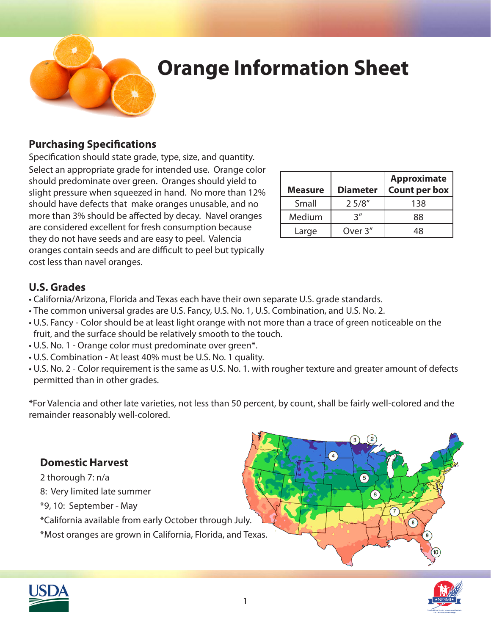

# **Orange Information Sheet**

### **Purchasing Specifications**

Specification should state grade, type, size, and quantity. Select an appropriate grade for intended use. Orange color should predominate over green. Oranges should yield to slight pressure when squeezed in hand. No more than 12% should have defects that make oranges unusable, and no more than 3% should be affected by decay. Navel oranges are considered excellent for fresh consumption because they do not have seeds and are easy to peel. Valencia oranges contain seeds and are difficult to peel but typically cost less than navel oranges.

| <b>Measure</b> | <b>Diameter</b> | <b>Approximate</b><br><b>Count per box</b> |
|----------------|-----------------|--------------------------------------------|
| Small          | 25/8"           | 138                                        |
| Medium         | יי 2            | 88                                         |
| Large          | Over 3"         |                                            |

### **U.S. Grades**

- California/Arizona, Florida and Texas each have their own separate U.S. grade standards.
- The common universal grades are U.S. Fancy, U.S. No. 1, U.S. Combination, and U.S. No. 2.
- U.S. Fancy Color should be at least light orange with not more than a trace of green noticeable on the fruit, and the surface should be relatively smooth to the touch.
- U.S. No. 1 Orange color must predominate over green\*.
- U.S. Combination At least 40% must be U.S. No. 1 quality.
- U.S. No. 2 Color requirement is the same as U.S. No. 1. with rougher texture and greater amount of defects permitted than in other grades.

\*For Valencia and other late varieties, not less than 50 percent, by count, shall be fairly well-colored and the remainder reasonably well-colored.

## **Domestic Harvest**

- 2 thorough 7: n/a
- 8: Very limited late summer
- \*9, 10: September May

\*California available from early October through July.

\*Most oranges are grown in California, Florida, and Texas.